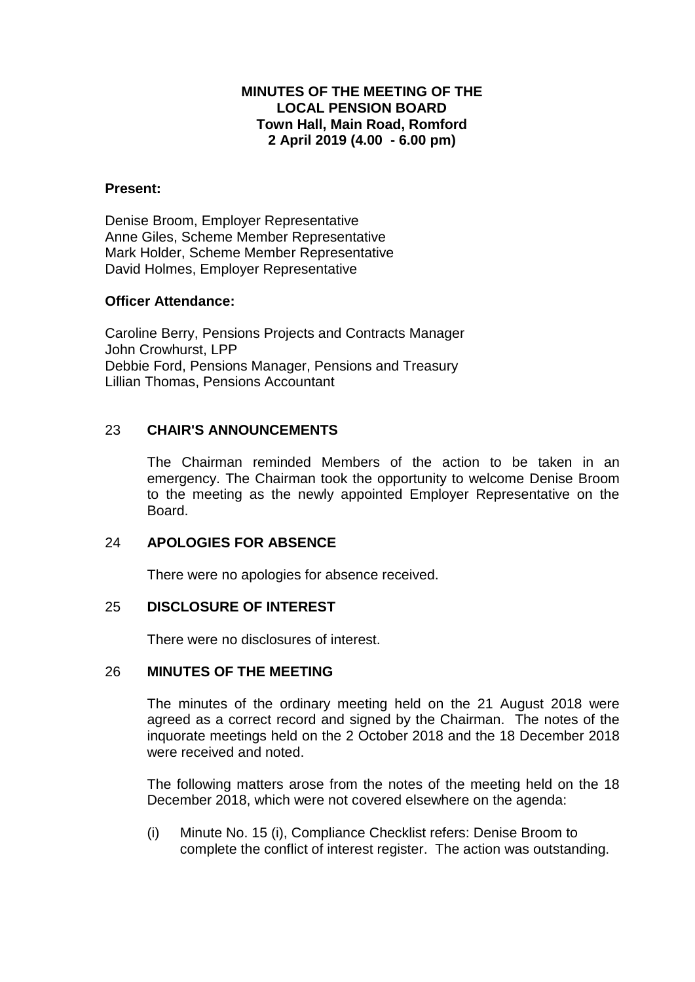# **MINUTES OF THE MEETING OF THE LOCAL PENSION BOARD Town Hall, Main Road, Romford 2 April 2019 (4.00 - 6.00 pm)**

#### **Present:**

Denise Broom, Employer Representative Anne Giles, Scheme Member Representative Mark Holder, Scheme Member Representative David Holmes, Employer Representative

### **Officer Attendance:**

Caroline Berry, Pensions Projects and Contracts Manager John Crowhurst, LPP Debbie Ford, Pensions Manager, Pensions and Treasury Lillian Thomas, Pensions Accountant

# 23 **CHAIR'S ANNOUNCEMENTS**

The Chairman reminded Members of the action to be taken in an emergency. The Chairman took the opportunity to welcome Denise Broom to the meeting as the newly appointed Employer Representative on the **Board** 

# 24 **APOLOGIES FOR ABSENCE**

There were no apologies for absence received.

#### 25 **DISCLOSURE OF INTEREST**

There were no disclosures of interest.

# 26 **MINUTES OF THE MEETING**

The minutes of the ordinary meeting held on the 21 August 2018 were agreed as a correct record and signed by the Chairman. The notes of the inquorate meetings held on the 2 October 2018 and the 18 December 2018 were received and noted.

The following matters arose from the notes of the meeting held on the 18 December 2018, which were not covered elsewhere on the agenda:

(i) Minute No. 15 (i), Compliance Checklist refers: Denise Broom to complete the conflict of interest register. The action was outstanding.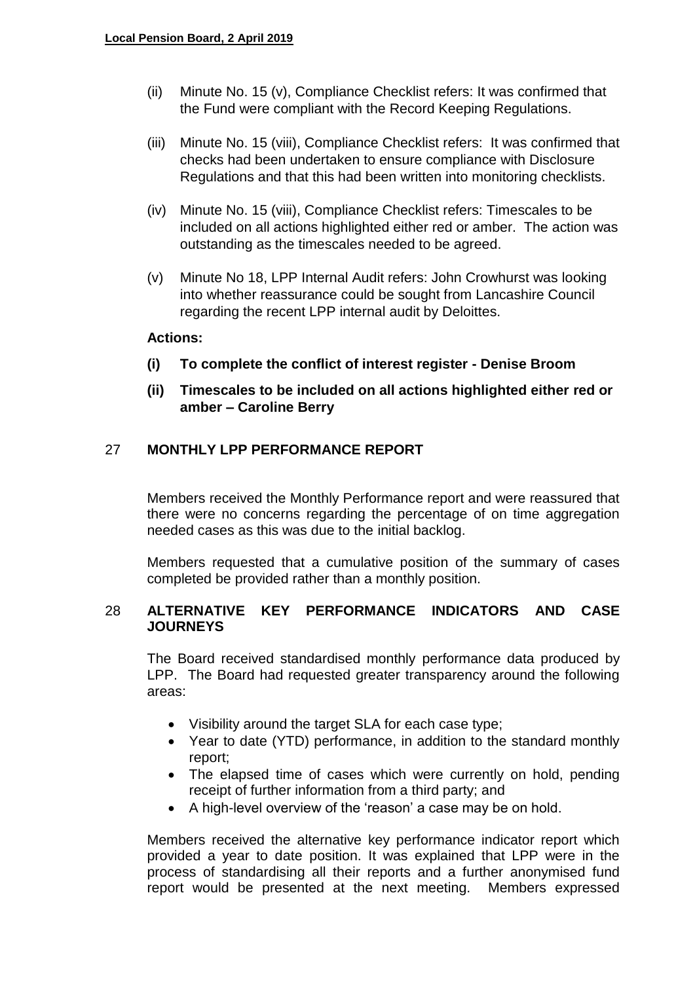- (ii) Minute No. 15 (v), Compliance Checklist refers: It was confirmed that the Fund were compliant with the Record Keeping Regulations.
- (iii) Minute No. 15 (viii), Compliance Checklist refers: It was confirmed that checks had been undertaken to ensure compliance with Disclosure Regulations and that this had been written into monitoring checklists.
- (iv) Minute No. 15 (viii), Compliance Checklist refers: Timescales to be included on all actions highlighted either red or amber. The action was outstanding as the timescales needed to be agreed.
- (v) Minute No 18, LPP Internal Audit refers: John Crowhurst was looking into whether reassurance could be sought from Lancashire Council regarding the recent LPP internal audit by Deloittes.

# **Actions:**

- **(i) To complete the conflict of interest register - Denise Broom**
- **(ii) Timescales to be included on all actions highlighted either red or amber – Caroline Berry**

# 27 **MONTHLY LPP PERFORMANCE REPORT**

Members received the Monthly Performance report and were reassured that there were no concerns regarding the percentage of on time aggregation needed cases as this was due to the initial backlog.

Members requested that a cumulative position of the summary of cases completed be provided rather than a monthly position.

# 28 **ALTERNATIVE KEY PERFORMANCE INDICATORS AND CASE JOURNEYS**

The Board received standardised monthly performance data produced by LPP. The Board had requested greater transparency around the following areas:

- Visibility around the target SLA for each case type;
- Year to date (YTD) performance, in addition to the standard monthly report;
- The elapsed time of cases which were currently on hold, pending receipt of further information from a third party; and
- A high-level overview of the 'reason' a case may be on hold.

Members received the alternative key performance indicator report which provided a year to date position. It was explained that LPP were in the process of standardising all their reports and a further anonymised fund report would be presented at the next meeting. Members expressed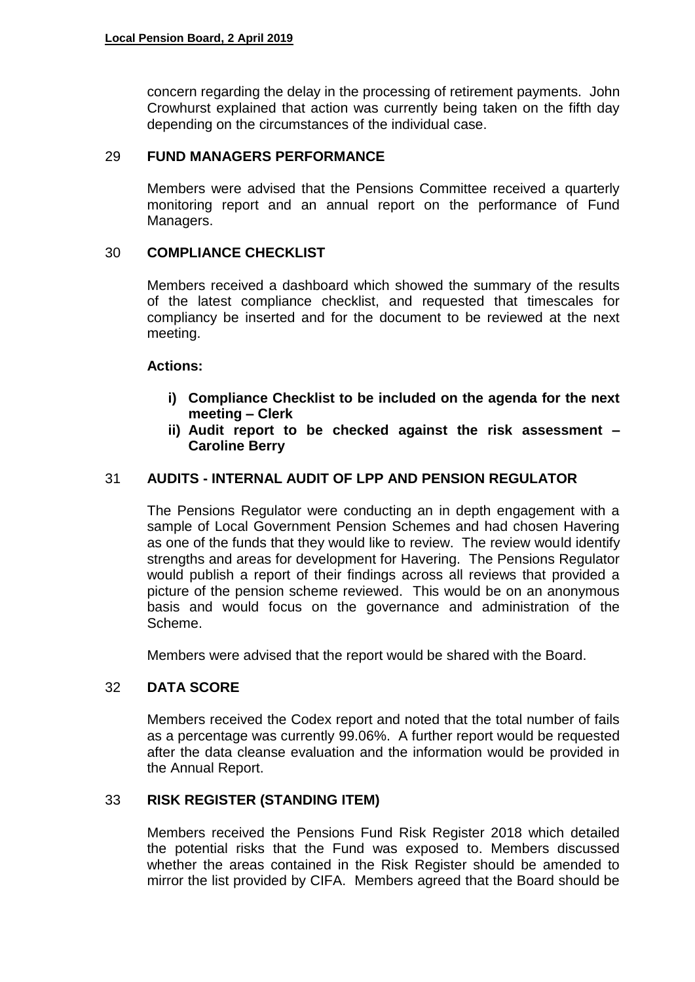concern regarding the delay in the processing of retirement payments. John Crowhurst explained that action was currently being taken on the fifth day depending on the circumstances of the individual case.

## 29 **FUND MANAGERS PERFORMANCE**

Members were advised that the Pensions Committee received a quarterly monitoring report and an annual report on the performance of Fund Managers.

# 30 **COMPLIANCE CHECKLIST**

Members received a dashboard which showed the summary of the results of the latest compliance checklist, and requested that timescales for compliancy be inserted and for the document to be reviewed at the next meeting.

### **Actions:**

- **i) Compliance Checklist to be included on the agenda for the next meeting – Clerk**
- **ii) Audit report to be checked against the risk assessment – Caroline Berry**

## 31 **AUDITS - INTERNAL AUDIT OF LPP AND PENSION REGULATOR**

The Pensions Regulator were conducting an in depth engagement with a sample of Local Government Pension Schemes and had chosen Havering as one of the funds that they would like to review. The review would identify strengths and areas for development for Havering. The Pensions Regulator would publish a report of their findings across all reviews that provided a picture of the pension scheme reviewed. This would be on an anonymous basis and would focus on the governance and administration of the Scheme.

Members were advised that the report would be shared with the Board.

### 32 **DATA SCORE**

Members received the Codex report and noted that the total number of fails as a percentage was currently 99.06%. A further report would be requested after the data cleanse evaluation and the information would be provided in the Annual Report.

# 33 **RISK REGISTER (STANDING ITEM)**

Members received the Pensions Fund Risk Register 2018 which detailed the potential risks that the Fund was exposed to. Members discussed whether the areas contained in the Risk Register should be amended to mirror the list provided by CIFA. Members agreed that the Board should be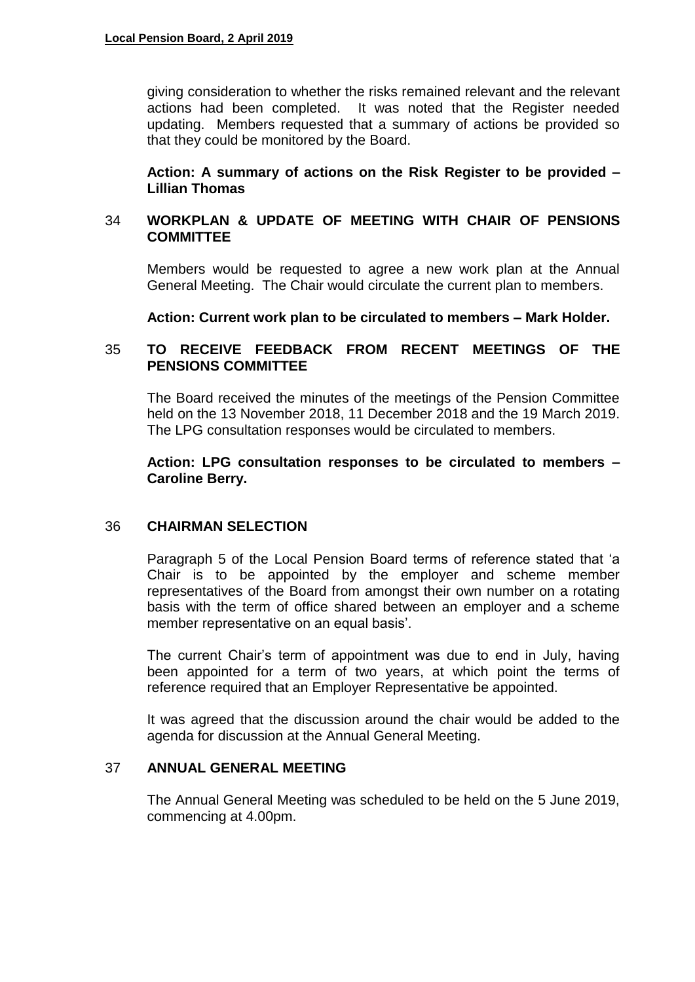giving consideration to whether the risks remained relevant and the relevant actions had been completed. It was noted that the Register needed updating. Members requested that a summary of actions be provided so that they could be monitored by the Board.

**Action: A summary of actions on the Risk Register to be provided – Lillian Thomas**

## 34 **WORKPLAN & UPDATE OF MEETING WITH CHAIR OF PENSIONS COMMITTEE**

Members would be requested to agree a new work plan at the Annual General Meeting. The Chair would circulate the current plan to members.

**Action: Current work plan to be circulated to members – Mark Holder.**

# 35 **TO RECEIVE FEEDBACK FROM RECENT MEETINGS OF THE PENSIONS COMMITTEE**

The Board received the minutes of the meetings of the Pension Committee held on the 13 November 2018, 11 December 2018 and the 19 March 2019. The LPG consultation responses would be circulated to members.

**Action: LPG consultation responses to be circulated to members – Caroline Berry.**

# 36 **CHAIRMAN SELECTION**

Paragraph 5 of the Local Pension Board terms of reference stated that 'a Chair is to be appointed by the employer and scheme member representatives of the Board from amongst their own number on a rotating basis with the term of office shared between an employer and a scheme member representative on an equal basis'.

The current Chair's term of appointment was due to end in July, having been appointed for a term of two years, at which point the terms of reference required that an Employer Representative be appointed.

It was agreed that the discussion around the chair would be added to the agenda for discussion at the Annual General Meeting.

#### 37 **ANNUAL GENERAL MEETING**

The Annual General Meeting was scheduled to be held on the 5 June 2019, commencing at 4.00pm.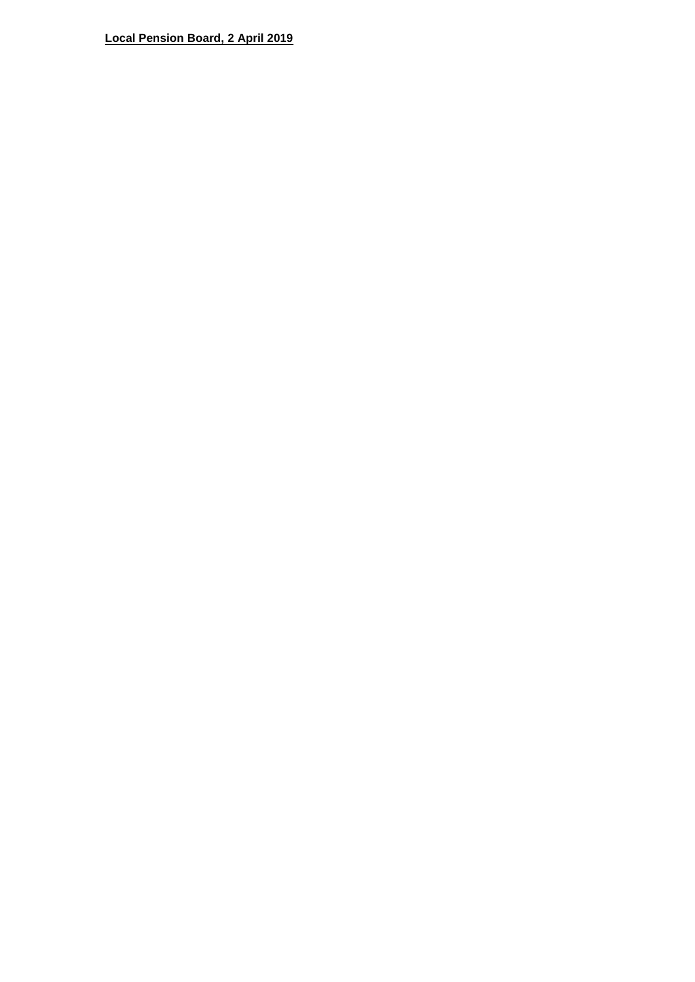**Local Pension Board, 2 April 2019**